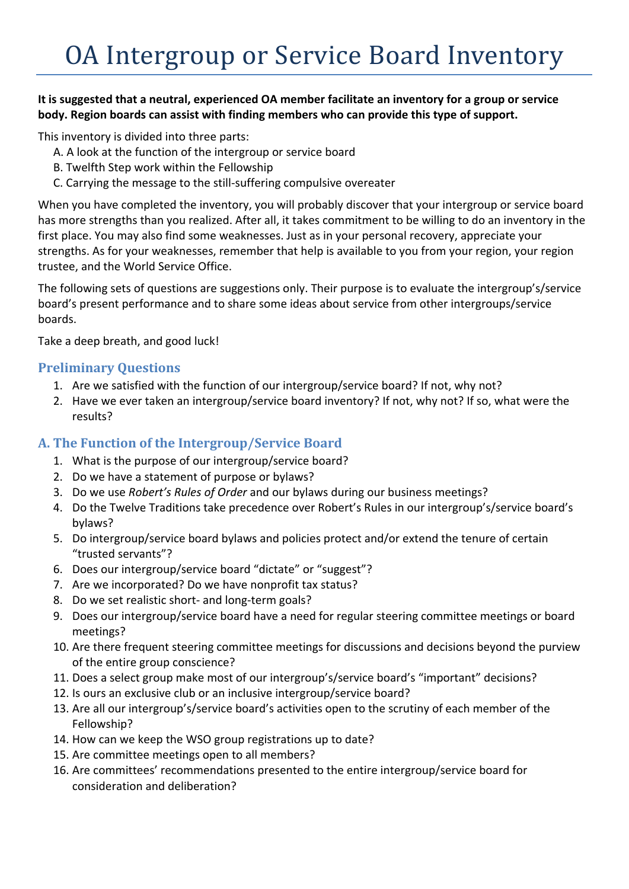#### **It is suggested that a neutral, experienced OA member facilitate an inventory for a group or service body. Region boards can assist with finding members who can provide this type of support.**

This inventory is divided into three parts:

- A. A look at the function of the intergroup or service board
- B. Twelfth Step work within the Fellowship
- C. Carrying the message to the still-suffering compulsive overeater

When you have completed the inventory, you will probably discover that your intergroup or service board has more strengths than you realized. After all, it takes commitment to be willing to do an inventory in the first place. You may also find some weaknesses. Just as in your personal recovery, appreciate your strengths. As for your weaknesses, remember that help is available to you from your region, your region trustee, and the World Service Office.

The following sets of questions are suggestions only. Their purpose is to evaluate the intergroup's/service board's present performance and to share some ideas about service from other intergroups/service boards.

Take a deep breath, and good luck!

### **Preliminary Questions**

- 1. Are we satisfied with the function of our intergroup/service board? If not, why not?
- 2. Have we ever taken an intergroup/service board inventory? If not, why not? If so, what were the results?

## **A. The Function of the Intergroup/Service Board**

- 1. What is the purpose of our intergroup/service board?
- 2. Do we have a statement of purpose or bylaws?
- 3. Do we use *Robert's Rules of Order* and our bylaws during our business meetings?
- 4. Do the Twelve Traditions take precedence over Robert's Rules in our intergroup's/service board's bylaws?
- 5. Do intergroup/service board bylaws and policies protect and/or extend the tenure of certain "trusted servants"?
- 6. Does our intergroup/service board "dictate" or "suggest"?
- 7. Are we incorporated? Do we have nonprofit tax status?
- 8. Do we set realistic short- and long-term goals?
- 9. Does our intergroup/service board have a need for regular steering committee meetings or board meetings?
- 10. Are there frequent steering committee meetings for discussions and decisions beyond the purview of the entire group conscience?
- 11. Does a select group make most of our intergroup's/service board's "important" decisions?
- 12. Is ours an exclusive club or an inclusive intergroup/service board?
- 13. Are all our intergroup's/service board's activities open to the scrutiny of each member of the Fellowship?
- 14. How can we keep the WSO group registrations up to date?
- 15. Are committee meetings open to all members?
- 16. Are committees' recommendations presented to the entire intergroup/service board for consideration and deliberation?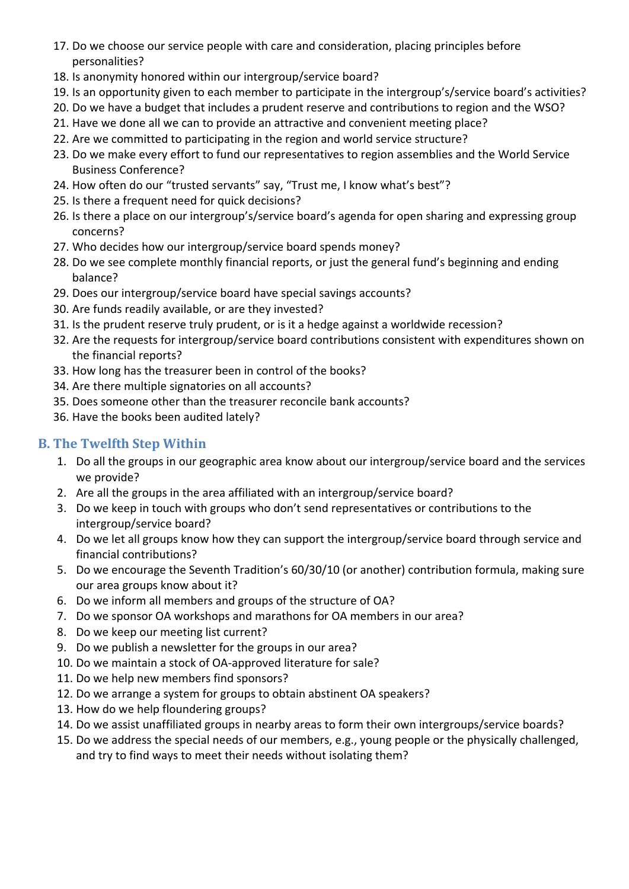- 17. Do we choose our service people with care and consideration, placing principles before personalities?
- 18. Is anonymity honored within our intergroup/service board?
- 19. Is an opportunity given to each member to participate in the intergroup's/service board's activities?
- 20. Do we have a budget that includes a prudent reserve and contributions to region and the WSO?
- 21. Have we done all we can to provide an attractive and convenient meeting place?
- 22. Are we committed to participating in the region and world service structure?
- 23. Do we make every effort to fund our representatives to region assemblies and the World Service Business Conference?
- 24. How often do our "trusted servants" say, "Trust me, I know what's best"?
- 25. Is there a frequent need for quick decisions?
- 26. Is there a place on our intergroup's/service board's agenda for open sharing and expressing group concerns?
- 27. Who decides how our intergroup/service board spends money?
- 28. Do we see complete monthly financial reports, or just the general fund's beginning and ending balance?
- 29. Does our intergroup/service board have special savings accounts?
- 30. Are funds readily available, or are they invested?
- 31. Is the prudent reserve truly prudent, or is it a hedge against a worldwide recession?
- 32. Are the requests for intergroup/service board contributions consistent with expenditures shown on the financial reports?
- 33. How long has the treasurer been in control of the books?
- 34. Are there multiple signatories on all accounts?
- 35. Does someone other than the treasurer reconcile bank accounts?
- 36. Have the books been audited lately?

# **B. The Twelfth Step Within**

- 1. Do all the groups in our geographic area know about our intergroup/service board and the services we provide?
- 2. Are all the groups in the area affiliated with an intergroup/service board?
- 3. Do we keep in touch with groups who don't send representatives or contributions to the intergroup/service board?
- 4. Do we let all groups know how they can support the intergroup/service board through service and financial contributions?
- 5. Do we encourage the Seventh Tradition's 60/30/10 (or another) contribution formula, making sure our area groups know about it?
- 6. Do we inform all members and groups of the structure of OA?
- 7. Do we sponsor OA workshops and marathons for OA members in our area?
- 8. Do we keep our meeting list current?
- 9. Do we publish a newsletter for the groups in our area?
- 10. Do we maintain a stock of OA-approved literature for sale?
- 11. Do we help new members find sponsors?
- 12. Do we arrange a system for groups to obtain abstinent OA speakers?
- 13. How do we help floundering groups?
- 14. Do we assist unaffiliated groups in nearby areas to form their own intergroups/service boards?
- 15. Do we address the special needs of our members, e.g., young people or the physically challenged, and try to find ways to meet their needs without isolating them?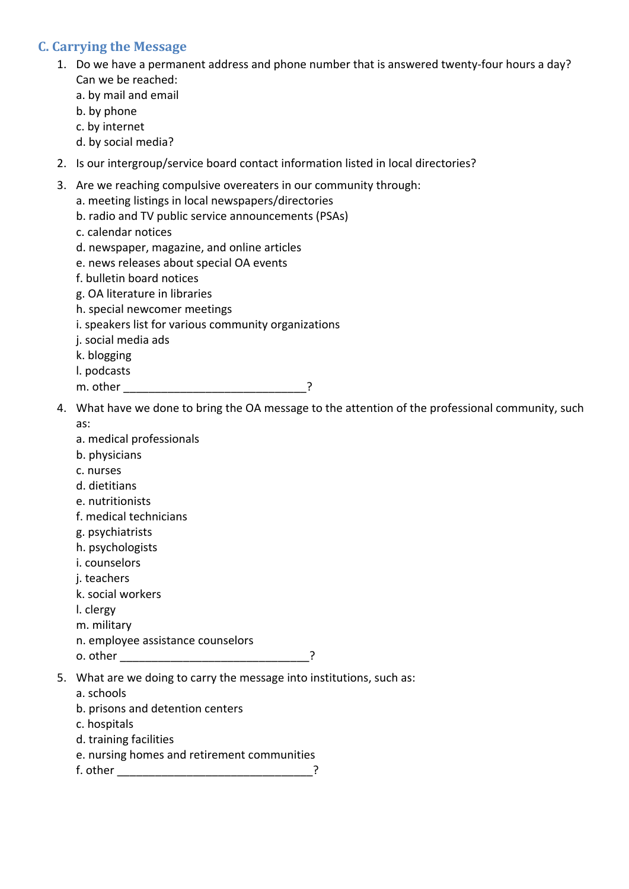## **C. Carrying the Message**

- 1. Do we have a permanent address and phone number that is answered twenty-four hours a day? Can we be reached:
	- a. by mail and email
	- b. by phone
	- c. by internet
	- d. by social media?
- 2. Is our intergroup/service board contact information listed in local directories?
- 3. Are we reaching compulsive overeaters in our community through:
	- a. meeting listings in local newspapers/directories
	- b. radio and TV public service announcements (PSAs)
	- c. calendar notices
	- d. newspaper, magazine, and online articles
	- e. news releases about special OA events
	- f. bulletin board notices
	- g. OA literature in libraries
	- h. special newcomer meetings
	- i. speakers list for various community organizations
	- j. social media ads
	- k. blogging
	- l. podcasts
	- m. other \_\_\_\_\_\_\_\_\_\_\_\_\_\_\_\_\_\_\_\_\_\_\_\_\_\_\_\_\_?

- 4. What have we done to bring the OA message to the attention of the professional community, such as:
	- a. medical professionals
	- b. physicians
	- c. nurses
	- d. dietitians
	- e. nutritionists
	- f. medical technicians
	- g. psychiatrists
	- h. psychologists
	- i. counselors
	- j. teachers
	- k. social workers
	- l. clergy
	- m. military
	- n. employee assistance counselors
	- o. other \_\_\_\_\_\_\_\_\_\_\_\_\_\_\_\_\_\_\_\_\_\_\_\_\_\_\_\_\_\_?
- 5. What are we doing to carry the message into institutions, such as:
	- a. schools
	- b. prisons and detention centers
	- c. hospitals
	- d. training facilities
	- e. nursing homes and retirement communities
	- f. other \_\_\_\_\_\_\_\_\_\_\_\_\_\_\_\_\_\_\_\_\_\_\_\_\_\_\_\_\_\_\_?